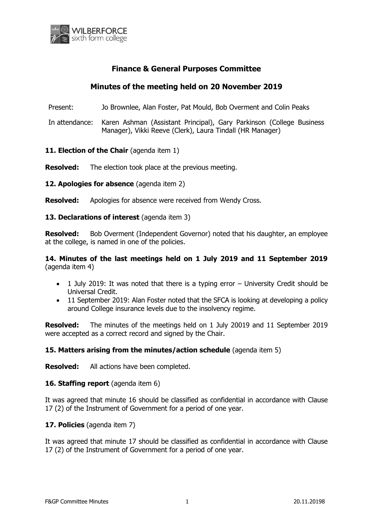

## **Finance & General Purposes Committee**

# **Minutes of the meeting held on 20 November 2019**

Present: Jo Brownlee, Alan Foster, Pat Mould, Bob Overment and Colin Peaks

In attendance: Karen Ashman (Assistant Principal), Gary Parkinson (College Business Manager), Vikki Reeve (Clerk), Laura Tindall (HR Manager)

## **11. Election of the Chair** (agenda item 1)

**Resolved:** The election took place at the previous meeting.

12. Apologies for absence (agenda item 2)

**Resolved:** Apologies for absence were received from Wendy Cross.

#### **13. Declarations of interest** (agenda item 3)

**Resolved:** Bob Overment (Independent Governor) noted that his daughter, an employee at the college, is named in one of the policies.

**14. Minutes of the last meetings held on 1 July 2019 and 11 September 2019** (agenda item 4)

- 1 July 2019: It was noted that there is a typing error University Credit should be Universal Credit.
- 11 September 2019: Alan Foster noted that the SFCA is looking at developing a policy around College insurance levels due to the insolvency regime.

**Resolved:** The minutes of the meetings held on 1 July 20019 and 11 September 2019 were accepted as a correct record and signed by the Chair.

### **15. Matters arising from the minutes/action schedule** (agenda item 5)

**Resolved:** All actions have been completed.

#### **16. Staffing report** (agenda item 6)

It was agreed that minute 16 should be classified as confidential in accordance with Clause 17 (2) of the Instrument of Government for a period of one year.

### **17. Policies** (agenda item 7)

It was agreed that minute 17 should be classified as confidential in accordance with Clause 17 (2) of the Instrument of Government for a period of one year.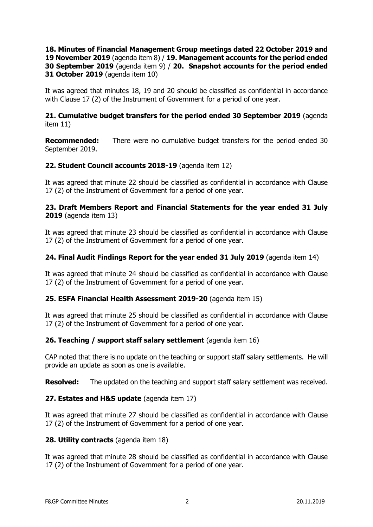## **18. Minutes of Financial Management Group meetings dated 22 October 2019 and 19 November 2019** (agenda item 8) / **19. Management accounts for the period ended 30 September 2019** (agenda item 9) / **20. Snapshot accounts for the period ended 31 October 2019** (agenda item 10)

It was agreed that minutes 18, 19 and 20 should be classified as confidential in accordance with Clause 17 (2) of the Instrument of Government for a period of one year.

### **21. Cumulative budget transfers for the period ended 30 September 2019** (agenda item 11)

**Recommended:** There were no cumulative budget transfers for the period ended 30 September 2019.

## **22. Student Council accounts 2018-19** (agenda item 12)

It was agreed that minute 22 should be classified as confidential in accordance with Clause 17 (2) of the Instrument of Government for a period of one year.

## **23. Draft Members Report and Financial Statements for the year ended 31 July 2019** (agenda item 13)

It was agreed that minute 23 should be classified as confidential in accordance with Clause 17 (2) of the Instrument of Government for a period of one year.

### **24. Final Audit Findings Report for the year ended 31 July 2019** (agenda item 14)

It was agreed that minute 24 should be classified as confidential in accordance with Clause 17 (2) of the Instrument of Government for a period of one year.

### **25. ESFA Financial Health Assessment 2019-20** (agenda item 15)

It was agreed that minute 25 should be classified as confidential in accordance with Clause 17 (2) of the Instrument of Government for a period of one year.

### **26. Teaching / support staff salary settlement** (agenda item 16)

CAP noted that there is no update on the teaching or support staff salary settlements. He will provide an update as soon as one is available.

**Resolved:** The updated on the teaching and support staff salary settlement was received.

### **27. Estates and H&S update** (agenda item 17)

It was agreed that minute 27 should be classified as confidential in accordance with Clause 17 (2) of the Instrument of Government for a period of one year.

### **28. Utility contracts** (agenda item 18)

It was agreed that minute 28 should be classified as confidential in accordance with Clause 17 (2) of the Instrument of Government for a period of one year.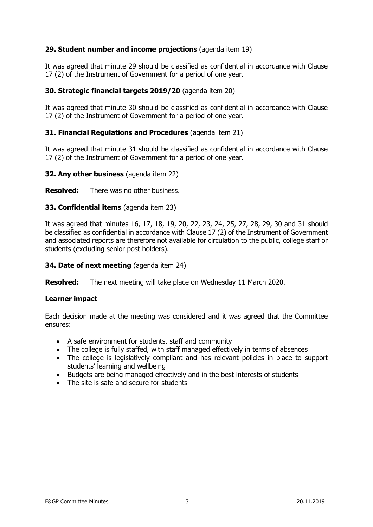## **29. Student number and income projections** (agenda item 19)

It was agreed that minute 29 should be classified as confidential in accordance with Clause 17 (2) of the Instrument of Government for a period of one year.

### **30. Strategic financial targets 2019/20** (agenda item 20)

It was agreed that minute 30 should be classified as confidential in accordance with Clause 17 (2) of the Instrument of Government for a period of one year.

### **31. Financial Regulations and Procedures** (agenda item 21)

It was agreed that minute 31 should be classified as confidential in accordance with Clause 17 (2) of the Instrument of Government for a period of one year.

#### **32. Any other business** (agenda item 22)

**Resolved:** There was no other business.

### **33. Confidential items** (agenda item 23)

It was agreed that minutes 16, 17, 18, 19, 20, 22, 23, 24, 25, 27, 28, 29, 30 and 31 should be classified as confidential in accordance with Clause 17 (2) of the Instrument of Government and associated reports are therefore not available for circulation to the public, college staff or students (excluding senior post holders).

#### **34. Date of next meeting** (agenda item 24)

**Resolved:** The next meeting will take place on Wednesday 11 March 2020.

#### **Learner impact**

Each decision made at the meeting was considered and it was agreed that the Committee ensures:

- A safe environment for students, staff and community
- The college is fully staffed, with staff managed effectively in terms of absences
- The college is legislatively compliant and has relevant policies in place to support students' learning and wellbeing
- Budgets are being managed effectively and in the best interests of students
- The site is safe and secure for students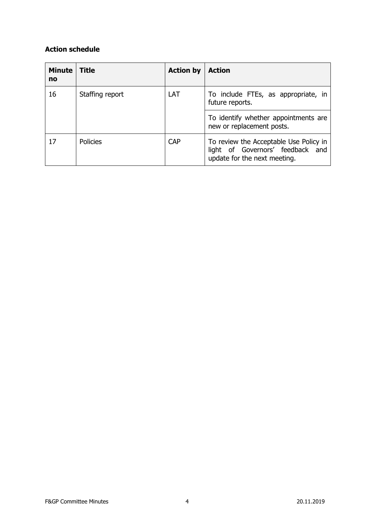# **Action schedule**

| <b>Minute</b><br>no | <b>Title</b>    | <b>Action by</b> | <b>Action</b>                                                                                              |
|---------------------|-----------------|------------------|------------------------------------------------------------------------------------------------------------|
| 16                  | Staffing report | LAT              | To include FTEs, as appropriate, in<br>future reports.                                                     |
|                     |                 |                  | To identify whether appointments are<br>new or replacement posts.                                          |
| 17                  | <b>Policies</b> | <b>CAP</b>       | To review the Acceptable Use Policy in<br>light of Governors' feedback and<br>update for the next meeting. |